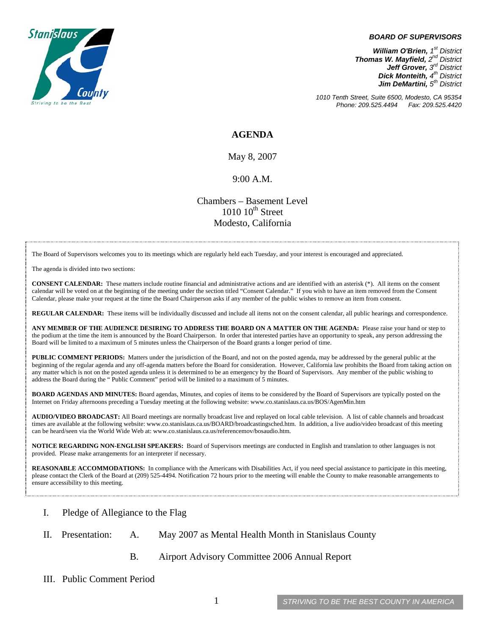

#### *BOARD OF SUPERVISORS*

*William O'Brien, 1<sup>st</sup> District Thomas W. Mayfield, 2nd District Jeff Grover, 3rd District Dick Monteith, 4<sup>th</sup> District Jim DeMartini*,  $5<sup>th</sup>$  District

*1010 Tenth Street, Suite 6500, Modesto, CA 95354 Phone: 209.525.4494* 

#### **AGENDA**

May 8, 2007

#### 9:00 A.M.

Chambers – Basement Level  $1010~10<sup>th</sup>$  Street Modesto, California

The Board of Supervisors welcomes you to its meetings which are regularly held each Tuesday, and your interest is encouraged and appreciated.

The agenda is divided into two sections:

**CONSENT CALENDAR:** These matters include routine financial and administrative actions and are identified with an asterisk (\*). All items on the consent calendar will be voted on at the beginning of the meeting under the section titled "Consent Calendar." If you wish to have an item removed from the Consent Calendar, please make your request at the time the Board Chairperson asks if any member of the public wishes to remove an item from consent.

**REGULAR CALENDAR:** These items will be individually discussed and include all items not on the consent calendar, all public hearings and correspondence.

**ANY MEMBER OF THE AUDIENCE DESIRING TO ADDRESS THE BOARD ON A MATTER ON THE AGENDA:** Please raise your hand or step to the podium at the time the item is announced by the Board Chairperson. In order that interested parties have an opportunity to speak, any person addressing the Board will be limited to a maximum of 5 minutes unless the Chairperson of the Board grants a longer period of time.

**PUBLIC COMMENT PERIODS:** Matters under the jurisdiction of the Board, and not on the posted agenda, may be addressed by the general public at the beginning of the regular agenda and any off-agenda matters before the Board for consideration. However, California law prohibits the Board from taking action on any matter which is not on the posted agenda unless it is determined to be an emergency by the Board of Supervisors. Any member of the public wishing to address the Board during the " Public Comment" period will be limited to a maximum of 5 minutes.

**BOARD AGENDAS AND MINUTES:** Board agendas, Minutes, and copies of items to be considered by the Board of Supervisors are typically posted on the Internet on Friday afternoons preceding a Tuesday meeting at the following website: [www.co.stanislaus.ca.us/BOS/AgenMin.htm](http://www.co.stanislaus.ca.us/BOS/AgenMin.htm) 

**AUDIO/VIDEO BROADCAST:** All Board meetings are normally broadcast live and replayed on local cable television. A list of cable channels and broadcast times are available at the following website: [www.co.stanislaus.ca.us/BOARD/broadcastingsched.htm](http://www.co.stanislaus.ca.us/BOARD/broadcastingsched.htm). In addition, a live audio/video broadcast of this meeting can be heard/seen via the World Wide Web at: [www.co.stanislaus.ca.us/referencemov/bosaudio.htm.](http://www.co.stanislaus.ca.us/referencemov/bosaudio.htm)

**NOTICE REGARDING NON-ENGLISH SPEAKERS:** Board of Supervisors meetings are conducted in English and translation to other languages is not provided. Please make arrangements for an interpreter if necessary.

**REASONABLE ACCOMMODATIONS:** In compliance with the Americans with Disabilities Act, if you need special assistance to participate in this meeting, please contact the Clerk of the Board at (209) 525-4494. Notification 72 hours prior to the meeting will enable the County to make reasonable arrangements to ensure accessibility to this meeting.

- I. Pledge of Allegiance to the Flag
- II. Presentation: A. May 2007 as Mental Health Month in Stanislaus County
	- B. Airport Advisory Committee 2006 Annual Report
- III. Public Comment Period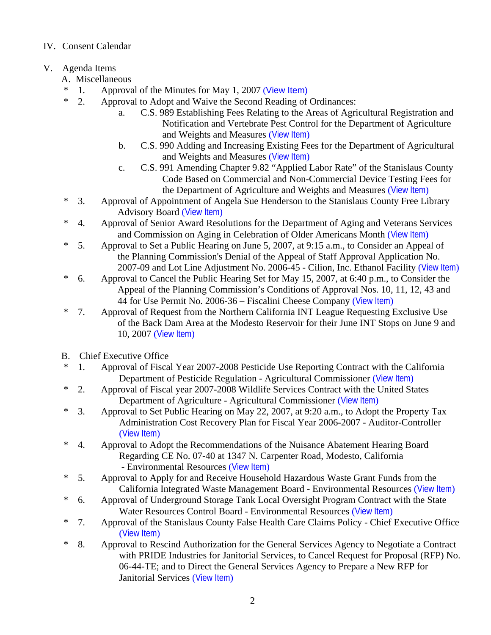## IV. Consent Calendar

# V. Agenda Items

- A. Miscellaneous
- \* 1. Approval of the Minutes for May 1, 2007 ([View Item\)](http://www.co.stanislaus.ca.us/BOS/MINUTES/2007/min05-01-07.pdf)
- \* 2. Approval to Adopt and Waive the Second Reading of Ordinances:
	- a. C.S. 989 Establishing Fees Relating to the Areas of Agricultural Registration and Notification and Vertebrate Pest Control for the Department of Agriculture and Weights and Measures ([View Item](http://www.co.stanislaus.ca.us/BOS/Agenda/2007/20070508/A02a.pdf))
	- b. C.S. 990 Adding and Increasing Existing Fees for the Department of Agricultural and Weights and Measures ([View Item](http://www.co.stanislaus.ca.us/BOS/Agenda/2007/20070508/A02b.pdf))
	- c. C.S. 991 Amending Chapter 9.82 "Applied Labor Rate" of the Stanislaus County Code Based on Commercial and Non-Commercial Device Testing Fees for the Department of Agriculture and Weights and Measures ([View Item](http://www.co.stanislaus.ca.us/BOS/Agenda/2007/20070508/A02c.pdf))
- \* 3. Approval of Appointment of Angela Sue Henderson to the Stanislaus County Free Library Advisory Board ([View Item](http://www.co.stanislaus.ca.us/BOS/Agenda/2007/20070508/A03.pdf))
- \* 4. Approval of Senior Award Resolutions for the Department of Aging and Veterans Services and Commission on Aging in Celebration of Older Americans Month ([View Item](http://www.co.stanislaus.ca.us/BOS/Agenda/2007/20070508/A04.pdf))
- \* 5. Approval to Set a Public Hearing on June 5, 2007, at 9:15 a.m., to Consider an Appeal of the Planning Commission's Denial of the Appeal of Staff Approval Application No. 2007-09 and Lot Line Adjustment No. 2006-45 - Cilion, Inc. Ethanol Facility ([View Item](http://www.co.stanislaus.ca.us/BOS/Agenda/2007/20070508/A05.pdf))
- \* 6. Approval to Cancel the Public Hearing Set for May 15, 2007, at 6:40 p.m., to Consider the Appeal of the Planning Commission's Conditions of Approval Nos. 10, 11, 12, 43 and 44 for Use Permit No. 2006-36 – Fiscalini Cheese Company ([View Item](http://www.co.stanislaus.ca.us/BOS/Agenda/2007/20070508/A06.pdf))
- \* 7. Approval of Request from the Northern California INT League Requesting Exclusive Use of the Back Dam Area at the Modesto Reservoir for their June INT Stops on June 9 and 10, 2007 ([View Item](http://www.co.stanislaus.ca.us/BOS/Agenda/2007/20070508/A07.pdf))
- B. Chief Executive Office
- \* 1. Approval of Fiscal Year 2007-2008 Pesticide Use Reporting Contract with the California Department of Pesticide Regulation - Agricultural Commissioner ([View Item](http://www.co.stanislaus.ca.us/BOS/Agenda/2007/20070508/B01.pdf))
- \* 2. Approval of Fiscal year 2007-2008 Wildlife Services Contract with the United States Department of Agriculture - Agricultural Commissioner ([View Item](http://www.co.stanislaus.ca.us/BOS/Agenda/2007/20070508/B02.pdf))
- \* 3. Approval to Set Public Hearing on May 22, 2007, at 9:20 a.m., to Adopt the Property Tax Administration Cost Recovery Plan for Fiscal Year 2006-2007 - Auditor-Controller ([View Item](http://www.co.stanislaus.ca.us/BOS/Agenda/2007/20070508/B03.pdf))
- \* 4. Approval to Adopt the Recommendations of the Nuisance Abatement Hearing Board Regarding CE No. 07-40 at 1347 N. Carpenter Road, Modesto, California - Environmental Resources ([View Item](http://www.co.stanislaus.ca.us/BOS/Agenda/2007/20070508/B04.pdf))
- \* 5. Approval to Apply for and Receive Household Hazardous Waste Grant Funds from the California Integrated Waste Management Board - Environmental Resources ([View Item](http://www.co.stanislaus.ca.us/BOS/Agenda/2007/20070508/B05.pdf))
- \* 6. Approval of Underground Storage Tank Local Oversight Program Contract with the State Water Resources Control Board - Environmental Resources ([View Item](http://www.co.stanislaus.ca.us/BOS/Agenda/2007/20070508/B06.pdf))
- \* 7. Approval of the Stanislaus County False Health Care Claims Policy Chief Executive Office ([View Item](http://www.co.stanislaus.ca.us/BOS/Agenda/2007/20070508/B07.pdf))
- \* 8. Approval to Rescind Authorization for the General Services Agency to Negotiate a Contract with PRIDE Industries for Janitorial Services, to Cancel Request for Proposal (RFP) No. 06-44-TE; and to Direct the General Services Agency to Prepare a New RFP for Janitorial Services ([View Item](http://www.co.stanislaus.ca.us/BOS/Agenda/2007/20070508/B08.pdf))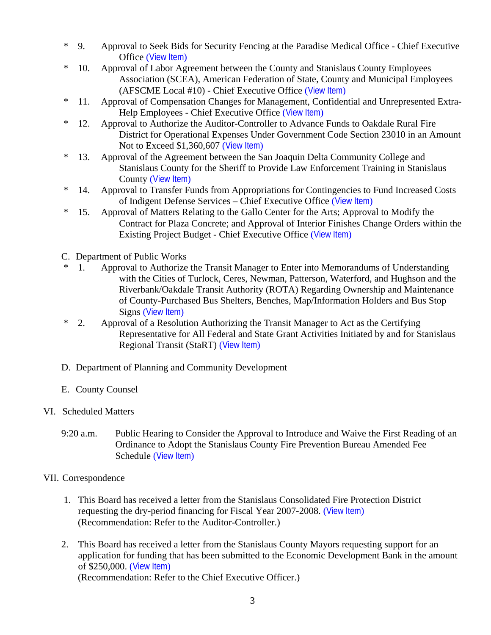- \* 9. Approval to Seek Bids for Security Fencing at the Paradise Medical Office Chief Executive Office ([View Item](http://www.co.stanislaus.ca.us/BOS/Agenda/2007/20070508/B09.pdf))
- \* 10. Approval of Labor Agreement between the County and Stanislaus County Employees Association (SCEA), American Federation of State, County and Municipal Employees (AFSCME Local #10) - Chief Executive Office ([View Item](http://www.co.stanislaus.ca.us/BOS/Agenda/2007/20070508/B10.pdf))
- \* 11. Approval of Compensation Changes for Management, Confidential and Unrepresented Extra-Help Employees - Chief Executive Office ([View Item](http://www.co.stanislaus.ca.us/BOS/Agenda/2007/20070508/B11.pdf))
- \* 12. Approval to Authorize the Auditor-Controller to Advance Funds to Oakdale Rural Fire District for Operational Expenses Under Government Code Section 23010 in an Amount Not to Exceed \$1,360,607 ([View Item](http://www.co.stanislaus.ca.us/BOS/Agenda/2007/20070508/B12.pdf))
- \* 13. Approval of the Agreement between the San Joaquin Delta Community College and Stanislaus County for the Sheriff to Provide Law Enforcement Training in Stanislaus County ([View Item](http://www.co.stanislaus.ca.us/BOS/Agenda/2007/20070508/B13.pdf))
- \* 14. Approval to Transfer Funds from Appropriations for Contingencies to Fund Increased Costs of Indigent Defense Services – Chief Executive Office ([View Item](http://www.co.stanislaus.ca.us/BOS/Agenda/2007/20070508/B14.pdf))
- \* 15. Approval of Matters Relating to the Gallo Center for the Arts; Approval to Modify the Contract for Plaza Concrete; and Approval of Interior Finishes Change Orders within the Existing Project Budget - Chief Executive Office ([View Item](http://www.co.stanislaus.ca.us/BOS/Agenda/2007/20070508/B15.pdf))
- C. Department of Public Works
- 1. Approval to Authorize the Transit Manager to Enter into Memorandums of Understanding with the Cities of Turlock, Ceres, Newman, Patterson, Waterford, and Hughson and the Riverbank/Oakdale Transit Authority (ROTA) Regarding Ownership and Maintenance of County-Purchased Bus Shelters, Benches, Map/Information Holders and Bus Stop Signs ([View Item](http://www.co.stanislaus.ca.us/BOS/Agenda/2007/20070508/C01.pdf))
- \* 2. Approval of a Resolution Authorizing the Transit Manager to Act as the Certifying Representative for All Federal and State Grant Activities Initiated by and for Stanislaus Regional Transit (StaRT) ([View Item](http://www.co.stanislaus.ca.us/BOS/Agenda/2007/20070508/C02.pdf))
- D. Department of Planning and Community Development
- E. County Counsel
- VI. Scheduled Matters
	- 9:20 a.m. Public Hearing to Consider the Approval to Introduce and Waive the First Reading of an Ordinance to Adopt the Stanislaus County Fire Prevention Bureau Amended Fee Schedule ([View Item](http://www.co.stanislaus.ca.us/BOS/Agenda/2007/20070508/PH920.pdf))

### VII. Correspondence

- 1. This Board has received a letter from the Stanislaus Consolidated Fire Protection District requesting the dry-period financing for Fiscal Year 2007-2008. ([View Item](http://www.co.stanislaus.ca.us/BOS/Agenda/2007/20070508/Corr01.pdf)) (Recommendation: Refer to the Auditor-Controller.)
- 2. This Board has received a letter from the Stanislaus County Mayors requesting support for an application for funding that has been submitted to the Economic Development Bank in the amount of \$250,000. ([View Item](http://www.co.stanislaus.ca.us/BOS/Agenda/2007/20070508/Corr02.pdf)) (Recommendation: Refer to the Chief Executive Officer.)